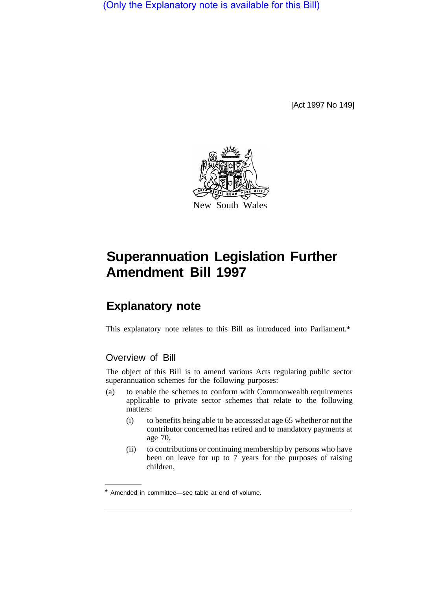(Only the Explanatory note is available for this Bill)

[Act 1997 No 149]



# **Superannuation Legislation Further Amendment Bill 1997**

# **Explanatory note**

This explanatory note relates to this Bill as introduced into Parliament.\*

## Overview of Bill

The object of this Bill is to amend various Acts regulating public sector superannuation schemes for the following purposes:

- (a) to enable the schemes to conform with Commonwealth requirements applicable to private sector schemes that relate to the following matters:
	- (i) to benefits being able to be accessed at age 65 whether or not the contributor concerned has retired and to mandatory payments at age 70,
	- (ii) to contributions or continuing membership by persons who have been on leave for up to 7 years for the purposes of raising children,

Amended in committee—see table at end of volume.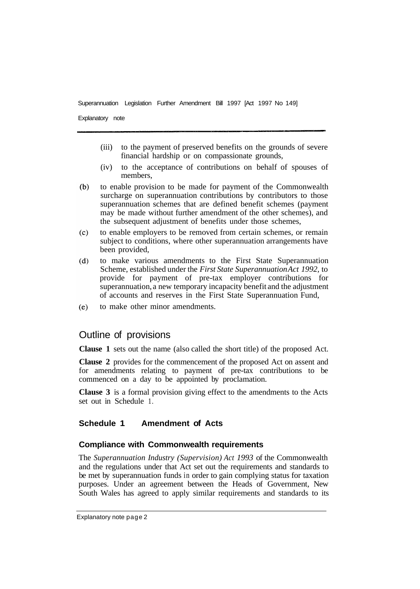Explanatory note

- (iii) to the payment of preserved benefits on the grounds of severe financial hardship or on compassionate grounds,
- (iv) to the acceptance of contributions on behalf of spouses of members,
- $(h)$ to enable provision to be made for payment of the Commonwealth surcharge on superannuation contributions by contributors to those superannuation schemes that are defined benefit schemes (payment may be made without further amendment of the other schemes), and the subsequent adjustment of benefits under those schemes,
- $(c)$ to enable employers to be removed from certain schemes, or remain subject to conditions, where other superannuation arrangements have been provided,
- to make various amendments to the First State Superannuation  $(d)$ Scheme, established under the *First State Superannuation Act 1992,* to provide for payment of pre-tax employer contributions for superannuation, a new temporary incapacity benefit and the adjustment of accounts and reserves in the First State Superannuation Fund,
- to make other minor amendments.  $(e)$

### Outline of provisions

**Clause 1** sets out the name (also called the short title) of the proposed Act.

**Clause 2** provides for the commencement of the proposed Act on assent and for amendments relating to payment of pre-tax contributions to be commenced on a day to be appointed by proclamation.

**Clause 3** is a formal provision giving effect to the amendments to the Acts set out in Schedule 1.

#### **Schedule 1 Amendment of Acts**

#### **Compliance with Commonwealth requirements**

The *Superannuation Industry (Supervision) Act 1993* of the Commonwealth and the regulations under that Act set out the requirements and standards to be met by superannuation funds in order to gain complying status for taxation purposes. Under an agreement between the Heads of Government, New South Wales has agreed to apply similar requirements and standards to its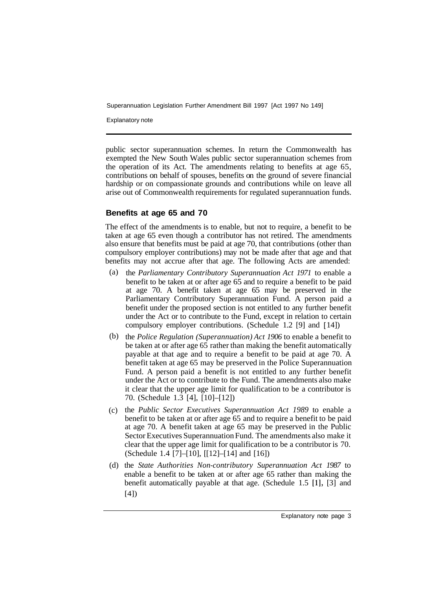Explanatory note

public sector superannuation schemes. In return the Commonwealth has exempted the New South Wales public sector superannuation schemes from the operation of its Act. The amendments relating to benefits at age 65, contributions on behalf of spouses, benefits on the ground of severe financial hardship or on compassionate grounds and contributions while on leave all arise out of Commonwealth requirements for regulated superannuation funds.

#### **Benefits at age 65 and 70**

The effect of the amendments is to enable, but not to require, a benefit to be taken at age 65 even though a contributor has not retired. The amendments also ensure that benefits must be paid at age 70, that contributions (other than compulsory employer contributions) may not be made after that age and that benefits may not accrue after that age. The following Acts are amended:

- (a) the *Parliamentary Contributory Superannuation Act 1971* to enable a benefit to be taken at or after age 65 and to require a benefit to be paid at age 70. A benefit taken at age 65 may be preserved in the Parliamentary Contributory Superannuation Fund. A person paid a benefit under the proposed section is not entitled to any further benefit under the Act or to contribute to the Fund, except in relation to certain compulsory employer contributions. (Schedule 1.2 [9] and [ 14])
- (b) the *Police Regulation (Superannuation) Act 1906* to enable a benefit to be taken at or after age 65 rather than making the benefit automatically payable at that age and to require a benefit to be paid at age 70. A benefit taken at age 65 may be preserved in the Police Superannuation Fund. A person paid a benefit is not entitled to any further benefit under the Act or to contribute to the Fund. The amendments also make it clear that the upper age limit for qualification to be a contributor is 70. (Schedule 1.3 [4], [10]–[12])
- (c) the *Public Sector Executives Superannuation Act 1989* to enable a benefit to be taken at or after age 65 and to require a benefit to be paid at age 70. A benefit taken at age 65 may be preserved in the Public Sector Executives Superannuation Fund. The amendments also make it clear that the upper age limit for qualification to be a contributor is 70. (Schedule 1.4 [7]–[10], [ [12]–[14] and [16])
- (d) the State Authorities Non-contributory Superannuation Act 1987 to enable a benefit to be taken at or after age 65 rather than making the benefit automatically payable at that age. (Schedule 1.5 **[1],** [3] and [4])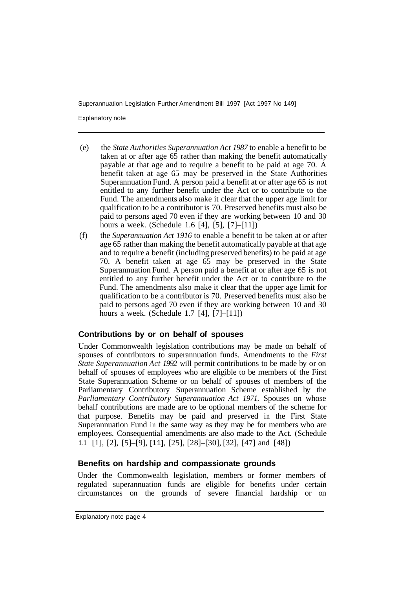Explanatory note

- (e) the *State Authorities Superannuation Act 1987* to enable a benefit to be taken at or after age 65 rather than making the benefit automatically payable at that age and to require a benefit to be paid at age 70. A benefit taken at age 65 may be preserved in the State Authorities Superannuation Fund. A person paid a benefit at or after age 65 is not entitled to any further benefit under the Act or to contribute to the Fund. The amendments also make it clear that the upper age limit for qualification to be a contributor is 70. Preserved benefits must also be paid to persons aged 70 even if they are working between 10 and 30 hours a week. (Schedule 1.6 [4], [5], [7]–[11])
- (f) the *Superannuation Act 1916* to enable a benefit to be taken at or after age 65 rather than making the benefit automatically payable at that age and to require a benefit (including preserved benefits) to be paid at age 70. A benefit taken at age 65 may be preserved in the State Superannuation Fund. A person paid a benefit at or after age 65 is not entitled to any further benefit under the Act or to contribute to the Fund. The amendments also make it clear that the upper age limit for qualification to be a contributor is 70. Preserved benefits must also be paid to persons aged 70 even if they are working between 10 and 30 hours a week. (Schedule 1.7 [4], [7]–[11])

#### **Contributions by or on behalf of spouses**

Under Commonwealth legislation contributions may be made on behalf of spouses of contributors to superannuation funds. Amendments to the *First State Superannuation Act 1992* will permit contributions to be made by or on behalf of spouses of employees who are eligible to be members of the First State Superannuation Scheme or on behalf of spouses of members of the Parliamentary Contributory Superannuation Scheme established by the *Parliamentary Contributory Superannuation Act 1971.* Spouses on whose behalf contributions are made are to be optional members of the scheme for that purpose. Benefits may be paid and preserved in the First State Superannuation Fund in the same way as they may be for members who are employees. Consequential amendments are also made to the Act. (Schedule 1.1 [1], [2], [5]–[9], [11], [25], [28]–[30], [32], [47] and [48])

#### **Benefits on hardship and compassionate grounds**

Under the Commonwealth legislation, members or former members of regulated superannuation funds are eligible for benefits under certain circumstances on the grounds of severe financial hardship or on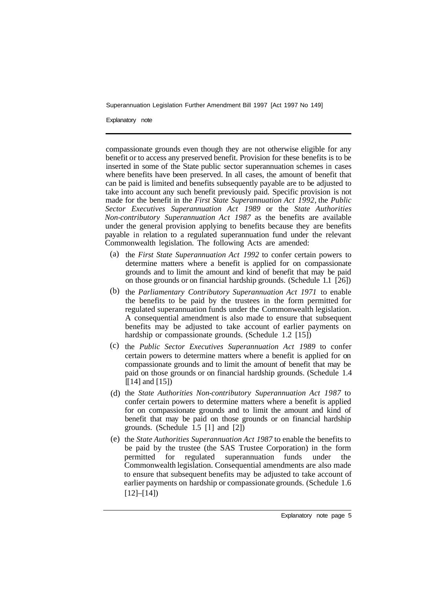Explanatory note

compassionate grounds even though they are not otherwise eligible for any benefit or to access any preserved benefit. Provision for these benefits is to be inserted in some of the State public sector superannuation schemes in cases where benefits have been preserved. In all cases, the amount of benefit that can be paid is limited and benefits subsequently payable are to be adjusted to take into account any such benefit previously paid. Specific provision is not made for the benefit in the *First State Superannuation Act 1992,* the *Public Sector Executives Superannuation Act 1989* or the *State Authorities Non-contributory Superannuation Act 1987* as the benefits are available under the general provision applying to benefits because they are benefits payable in relation to a regulated superannuation fund under the relevant Commonwealth legislation. The following Acts are amended:

- (a) the *First State Superannuation Act 1992* to confer certain powers to determine matters where a benefit is applied for on compassionate grounds and to limit the amount and kind of benefit that may be paid on those grounds or on financial hardship grounds. (Schedule 1.1 [26])
- (b) the *Parliamentary Contributory Superannuation Act 1971* to enable the benefits to be paid by the trustees in the form permitted for regulated superannuation funds under the Commonwealth legislation. A consequential amendment is also made to ensure that subsequent benefits may be adjusted to take account of earlier payments on hardship or compassionate grounds. (Schedule 1.2 [15])
- (c) the *Public Sector Executives Superannuation Act 1989* to confer certain powers to determine matters where a benefit is applied for on compassionate grounds and to limit the amount of benefit that may be paid on those grounds or on financial hardship grounds. (Schedule 1.4  $[[14]$  and  $[15]$ )
- (d) the *State Authorities Non-contributory Superannuation Act 1987* to confer certain powers to determine matters where a benefit is applied for on compassionate grounds and to limit the amount and kind of benefit that may be paid on those grounds or on financial hardship grounds. (Schedule  $\overline{1.5}$  [1] and [2])
- (e) the *State Authorities Superannuation Act 1987* to enable the benefits to be paid by the trustee (the SAS Trustee Corporation) in the form permitted for regulated superannuation funds under the Commonwealth legislation. Consequential amendments are also made to ensure that subsequent benefits may be adjusted to take account of earlier payments on hardship or compassionate grounds. (Schedule 1.6  $[12]–[14]$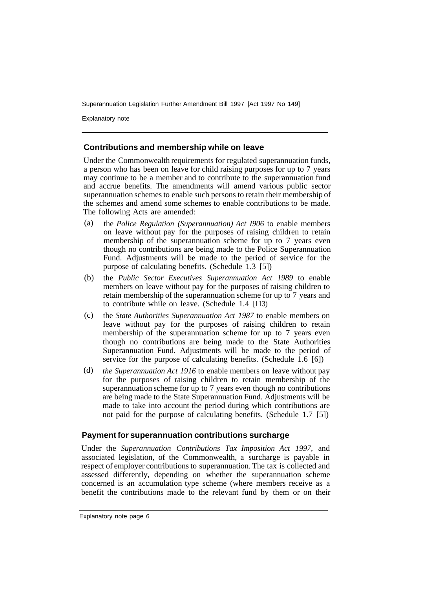Explanatory note

#### **Contributions and membership while on leave**

Under the Commonwealth requirements for regulated superannuation funds, a person who has been on leave for child raising purposes for up to 7 years may continue to be a member and to contribute to the superannuation fund and accrue benefits. The amendments will amend various public sector superannuation schemes to enable such persons to retain their membership of the schemes and amend some schemes to enable contributions to be made. The following Acts are amended:

- the *Police Regulation (Superannuation) Act I906* to enable members on leave without pay for the purposes of raising children to retain membership of the superannuation scheme for up to 7 years even though no contributions are being made to the Police Superannuation Fund. Adjustments will be made to the period of service for the purpose of calculating benefits. (Schedule 1.3 [5]) (a)
- the *Public Sector Executives Superannuation Act 1989* to enable members on leave without pay for the purposes of raising children to retain membership of the superannuation scheme for up to 7 years and to contribute while on leave. (Schedule 1.4 [l 13) (b)
- the *State Authorities Superannuation Act 1987* to enable members on leave without pay for the purposes of raising children to retain membership of the superannuation scheme for up to 7 years even though no contributions are being made to the State Authorities Superannuation Fund. Adjustments will be made to the period of service for the purpose of calculating benefits. (Schedule 1.6 [6]) (c)
- *the Superannuation Act 1916* to enable members on leave without pay for the purposes of raising children to retain membership of the superannuation scheme for up to 7 years even though no contributions are being made to the State Superannuation Fund. Adjustments will be made to take into account the period during which contributions are not paid for the purpose of calculating benefits. (Schedule 1.7 [5]) (d)

#### **Payment for superannuation contributions surcharge**

Under the *Superannuation Contributions Tax Imposition Act 1997,* and associated legislation, of the Commonwealth, a surcharge is payable in respect of employer contributions to superannuation. The tax is collected and assessed differently, depending on whether the superannuation scheme concerned is an accumulation type scheme (where members receive as a benefit the contributions made to the relevant fund by them or on their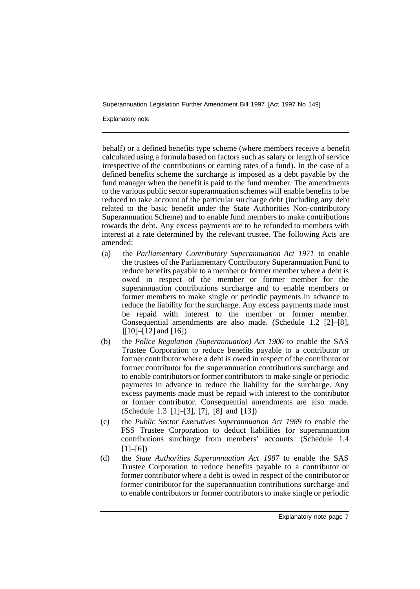Explanatory note

behalf) or a defined benefits type scheme (where members receive a benefit calculated using a formula based on factors such as salary or length of service irrespective of the contributions or earning rates of a fund). In the case of a defined benefits scheme the surcharge is imposed as a debt payable by the fund manager when the benefit is paid to the fund member. The amendments to the various public sector superannuation schemes will enable benefits to be reduced to take account of the particular surcharge debt (including any debt related to the basic benefit under the State Authorities Non-contributory Superannuation Scheme) and to enable fund members to make contributions towards the debt. Any excess payments are to be refunded to members with interest at a rate determined by the relevant trustee. The following Acts are amended:

- (a) the *Parliamentary Contributory Superannuation Act 1971* to enable the trustees of the Parliamentary Contributory Superannuation Fund to reduce benefits payable to a member or former member where a debt is owed in respect of the member or former member for the superannuation contributions surcharge and to enable members or former members to make single or periodic payments in advance to reduce the liability for the surcharge. Any excess payments made must be repaid with interest to the member or former member. Consequential amendments are also made. (Schedule 1.2 [2]–[8],  $[10]-[12]$  and  $[16]$
- (b) the *Police Regulation (Superannuation) Act 1906* to enable the SAS Trustee Corporation to reduce benefits payable to a contributor or former contributor where a debt is owed in respect of the contributor or former contributor for the superannuation contributions surcharge and to enable contributors or former contributors to make single or periodic payments in advance to reduce the liability for the surcharge. Any excess payments made must be repaid with interest to the contributor or former contributor. Consequential amendments are also made. (Schedule 1.3 [1]–[3], [7], [8] and [13])
- (c) the *Public Sector Executives Superannuation Act 1989* to enable the FSS Trustee Corporation to deduct liabilities for superannuation contributions surcharge from members' accounts. (Schedule 1.4  $[1]-[6]$
- (d) the *State Authorities Superannuation Act 1987* to enable the SAS Trustee Corporation to reduce benefits payable to a contributor or former contributor where a debt is owed in respect of the contributor or former contributor for the superannuation contributions surcharge and to enable contributors or former contributors to make single or periodic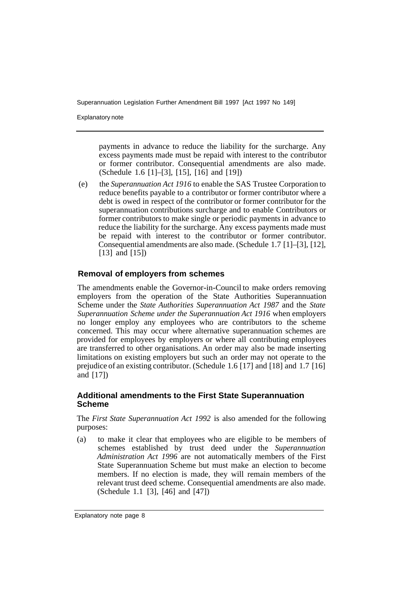Explanatory note

payments in advance to reduce the liability for the surcharge. Any excess payments made must be repaid with interest to the contributor or former contributor. Consequential amendments are also made. (Schedule 1.6 [1]–[3], [15], [16] and [19])

(e) the *Superannuation Act 1916* to enable the SAS Trustee Corporation to reduce benefits payable to a contributor or former contributor where a debt is owed in respect of the contributor or former contributor for the superannuation contributions surcharge and to enable Contributors or former contributors to make single or periodic payments in advance to reduce the liability for the surcharge. Any excess payments made must be repaid with interest to the contributor or former contributor. Consequential amendments are also made. (Schedule 1.7 [1]–[3], [12], [13] and [15])

#### **Removal of employers from schemes**

The amendments enable the Governor-in-Council to make orders removing employers from the operation of the State Authorities Superannuation Scheme under the *State Authorities Superannuation Act 1987* and the *State Superannuation Scheme under the Superannuation Act 1916* when employers no longer employ any employees who are contributors to the scheme concerned. This may occur where alternative superannuation schemes are provided for employees by employers or where all contributing employees are transferred to other organisations. An order may also be made inserting limitations on existing employers but such an order may not operate to the prejudice of an existing contributor. (Schedule 1.6 [17] and [18] and 1.7 [16] and [17])

#### **Additional amendments to the First State Superannuation Scheme**

The *First State Superannuation Act 1992* is also amended for the following purposes:

(a) to make it clear that employees who are eligible to be members of schemes established by trust deed under the *Superannuation Administration Act 1996* are not automatically members of the First State Superannuation Scheme but must make an election to become members. If no election is made, they will remain members of the relevant trust deed scheme. Consequential amendments are also made. (Schedule 1.1 [3], [46] and [47])